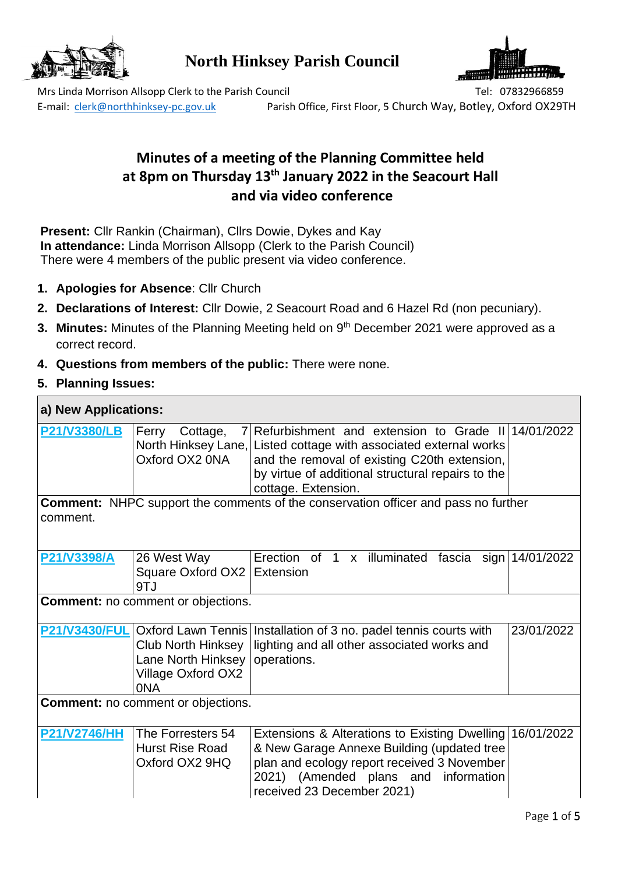

**North Hinksey Parish Council**



Mrs Linda Morrison Allsopp Clerk to the Parish Council Tel: 07832966859 E-mail: [clerk@northhinksey-pc.gov.uk](mailto:clerk@northhinksey-pc.gov.uk) Parish Office, First Floor, 5 Church Way, Botley, Oxford OX29TH

# **Minutes of a meeting of the Planning Committee held at 8pm on Thursday 13th January 2022 in the Seacourt Hall and via video conference**

**Present:** Cllr Rankin (Chairman), Cllrs Dowie, Dykes and Kay **In attendance:** Linda Morrison Allsopp (Clerk to the Parish Council) There were 4 members of the public present via video conference.

- **1. Apologies for Absence**: Cllr Church
- **2. Declarations of Interest:** Cllr Dowie, 2 Seacourt Road and 6 Hazel Rd (non pecuniary).
- **3. Minutes:** Minutes of the Planning Meeting held on 9<sup>th</sup> December 2021 were approved as a correct record.
- **4. Questions from members of the public:** There were none.
- **5. Planning Issues:**

# **a) New Applications:**

| <b>P21/V3380/LB</b>  | Ferry<br>Cottage,<br>Oxford OX2 0NA                                          | 7 Refurbishment and extension to Grade II 14/01/2022<br>North Hinksey Lane, Listed cottage with associated external works<br>and the removal of existing C20th extension,<br>by virtue of additional structural repairs to the<br>cottage. Extension. |            |
|----------------------|------------------------------------------------------------------------------|-------------------------------------------------------------------------------------------------------------------------------------------------------------------------------------------------------------------------------------------------------|------------|
| comment.             |                                                                              | <b>Comment:</b> NHPC support the comments of the conservation officer and pass no further                                                                                                                                                             |            |
| P21/V3398/A          | 26 West Way<br>Square Oxford OX2 Extension<br>9TJ                            | Erection of 1 x illuminated fascia sign 14/01/2022                                                                                                                                                                                                    |            |
|                      | <b>Comment:</b> no comment or objections.                                    |                                                                                                                                                                                                                                                       |            |
| <b>P21/V3430/FUL</b> | <b>Club North Hinksey</b><br>Lane North Hinksey<br>Village Oxford OX2<br>0NA | Oxford Lawn Tennis   Installation of 3 no. padel tennis courts with<br>lighting and all other associated works and<br>operations.                                                                                                                     | 23/01/2022 |
|                      | <b>Comment:</b> no comment or objections.                                    |                                                                                                                                                                                                                                                       |            |
| <b>P21/V2746/HH</b>  | The Forresters 54<br><b>Hurst Rise Road</b><br>Oxford OX2 9HQ                | Extensions & Alterations to Existing Dwelling 16/01/2022<br>& New Garage Annexe Building (updated tree<br>plan and ecology report received 3 November<br>2021) (Amended plans and information<br>received 23 December 2021)                           |            |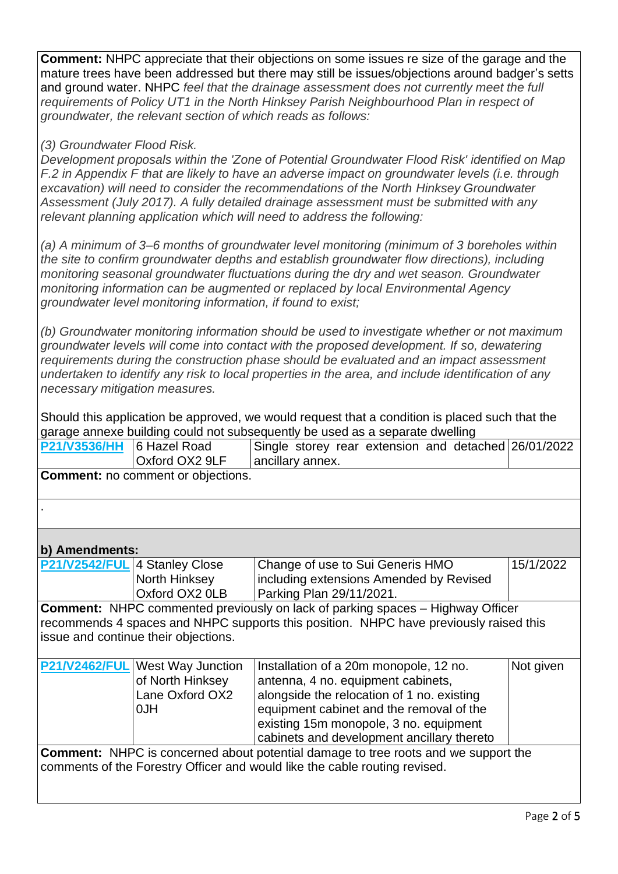**Comment:** NHPC appreciate that their objections on some issues re size of the garage and the mature trees have been addressed but there may still be issues/objections around badger's setts and ground water. NHPC *feel that the drainage assessment does not currently meet the full requirements of Policy UT1 in the North Hinksey Parish Neighbourhood Plan in respect of groundwater, the relevant section of which reads as follows:*

#### *(3) Groundwater Flood Risk.*

*Development proposals within the 'Zone of Potential Groundwater Flood Risk' identified on Map F.2 in Appendix F that are likely to have an adverse impact on groundwater levels (i.e. through excavation) will need to consider the recommendations of the North Hinksey Groundwater Assessment (July 2017). A fully detailed drainage assessment must be submitted with any relevant planning application which will need to address the following:*

*(a) A minimum of 3–6 months of groundwater level monitoring (minimum of 3 boreholes within the site to confirm groundwater depths and establish groundwater flow directions), including monitoring seasonal groundwater fluctuations during the dry and wet season. Groundwater monitoring information can be augmented or replaced by local Environmental Agency groundwater level monitoring information, if found to exist;*

*(b) Groundwater monitoring information should be used to investigate whether or not maximum groundwater levels will come into contact with the proposed development. If so, dewatering requirements during the construction phase should be evaluated and an impact assessment undertaken to identify any risk to local properties in the area, and include identification of any necessary mitigation measures.*

Should this application be approved, we would request that a condition is placed such that the garage annexe building could not subsequently be used as a separate dwelling

| <b>P21/V3536/HH</b>  | 6 Hazel Road<br>Oxford OX2 9LF            | Single storey rear extension and detached 26/01/2022<br>ancillary annex.                  |           |
|----------------------|-------------------------------------------|-------------------------------------------------------------------------------------------|-----------|
|                      | <b>Comment:</b> no comment or objections. |                                                                                           |           |
|                      |                                           |                                                                                           |           |
| b) Amendments:       |                                           |                                                                                           |           |
| <b>P21/V2542/FUL</b> | 4 Stanley Close                           | Change of use to Sui Generis HMO                                                          | 15/1/2022 |
|                      | North Hinksey                             | including extensions Amended by Revised                                                   |           |
|                      | Oxford OX2 0LB                            | Parking Plan 29/11/2021.                                                                  |           |
|                      |                                           | <b>Comment:</b> NHPC commented previously on lack of parking spaces – Highway Officer     |           |
|                      |                                           | recommends 4 spaces and NHPC supports this position. NHPC have previously raised this     |           |
|                      | issue and continue their objections.      |                                                                                           |           |
| <b>P21/V2462/FUL</b> | West Way Junction                         | Installation of a 20m monopole, 12 no.                                                    | Not given |
|                      | of North Hinksey                          | antenna, 4 no. equipment cabinets,                                                        |           |
|                      | Lane Oxford OX2                           | alongside the relocation of 1 no. existing                                                |           |
|                      | <b>NLO</b>                                | equipment cabinet and the removal of the                                                  |           |
|                      |                                           | existing 15m monopole, 3 no. equipment                                                    |           |
|                      |                                           | cabinets and development ancillary thereto                                                |           |
|                      |                                           | <b>Comment:</b> NHPC is concerned about potential damage to tree roots and we support the |           |
|                      |                                           | comments of the Forestry Officer and would like the cable routing revised.                |           |
|                      |                                           |                                                                                           |           |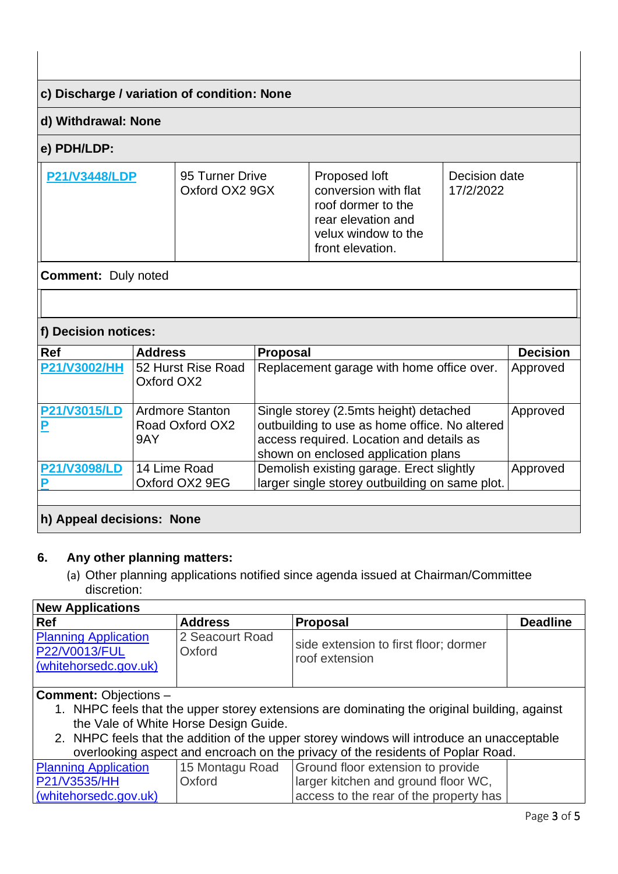## **c) Discharge / variation of condition: None**

#### **d) Withdrawal: None**

## **e) PDH/LDP:**

| <b>P21/V3448/LDP</b> | 95 Turner Drive<br>Oxford OX2 9GX | Proposed loft<br>conversion with flat<br>roof dormer to the<br>rear elevation and<br>velux window to the<br>front elevation. | Decision date<br>17/2/2022 |
|----------------------|-----------------------------------|------------------------------------------------------------------------------------------------------------------------------|----------------------------|
|----------------------|-----------------------------------|------------------------------------------------------------------------------------------------------------------------------|----------------------------|

#### **Comment:** Duly noted

## **f) Decision notices:**

| <b>Ref</b>                | <b>Address</b>                                   | Proposal                                                                                                                                                                   | <b>Decision</b> |
|---------------------------|--------------------------------------------------|----------------------------------------------------------------------------------------------------------------------------------------------------------------------------|-----------------|
| <b>P21/V3002/HH</b>       | 52 Hurst Rise Road<br>Oxford OX2                 | Replacement garage with home office over.                                                                                                                                  | Approved        |
| <b>P21/V3015/LD</b>       | <b>Ardmore Stanton</b><br>Road Oxford OX2<br>9AY | Single storey (2.5mts height) detached<br>outbuilding to use as home office. No altered<br>access required. Location and details as<br>shown on enclosed application plans | Approved        |
| <b>P21/V3098/LD</b>       | 14 Lime Road<br>Oxford OX2 9EG                   | Demolish existing garage. Erect slightly<br>larger single storey outbuilding on same plot.                                                                                 | Approved        |
| h) Appeal decisions: None |                                                  |                                                                                                                                                                            |                 |

#### **6. Any other planning matters:**

(a) Other planning applications notified since agenda issued at Chairman/Committee discretion:

| <b>New Applications</b>                                               |                           |                                                         |                 |
|-----------------------------------------------------------------------|---------------------------|---------------------------------------------------------|-----------------|
| <b>Ref</b>                                                            | <b>Address</b>            | <b>Proposal</b>                                         | <b>Deadline</b> |
| <b>Planning Application</b><br>P22/V0013/FUL<br>(whitehorsedc.gov.uk) | 2 Seacourt Road<br>Oxford | side extension to first floor; dormer<br>roof extension |                 |
| .                                                                     |                           |                                                         |                 |

#### **Comment:** Objections –

- 1. NHPC feels that the upper storey extensions are dominating the original building, against the Vale of White Horse Design Guide.
- 2. NHPC feels that the addition of the upper storey windows will introduce an unacceptable overlooking aspect and encroach on the privacy of the residents of Poplar Road.

| <b>Planning Application</b> | 15 Montagu Road | Ground floor extension to provide      |  |
|-----------------------------|-----------------|----------------------------------------|--|
| P21/V3535/HH                | Oxford          | larger kitchen and ground floor WC,    |  |
| (whitehorsedc.gov.uk)       |                 | access to the rear of the property has |  |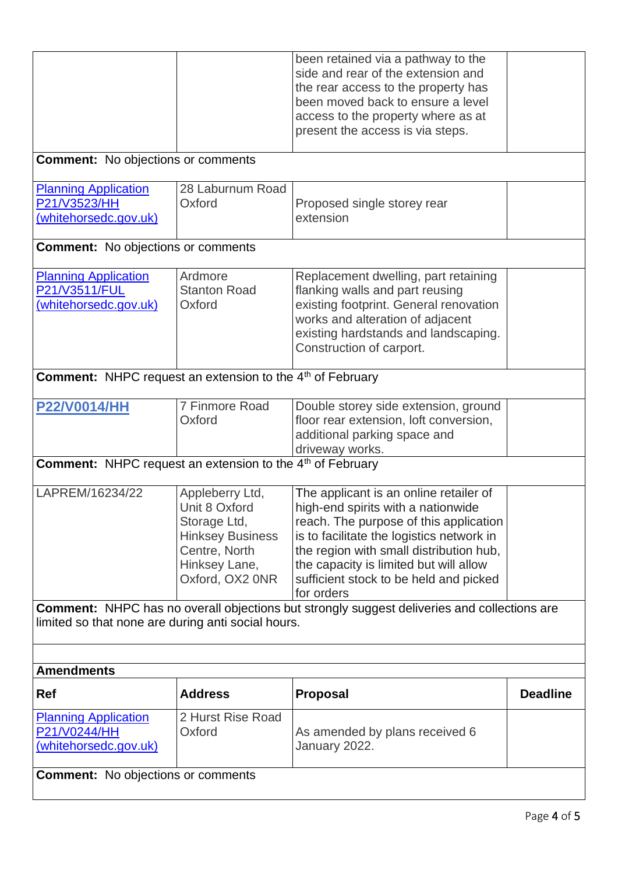|                                                                              |                                                                                                                                  | been retained via a pathway to the<br>side and rear of the extension and<br>the rear access to the property has<br>been moved back to ensure a level<br>access to the property where as at<br>present the access is via steps.                                                                                   |                 |
|------------------------------------------------------------------------------|----------------------------------------------------------------------------------------------------------------------------------|------------------------------------------------------------------------------------------------------------------------------------------------------------------------------------------------------------------------------------------------------------------------------------------------------------------|-----------------|
| <b>Comment:</b> No objections or comments                                    |                                                                                                                                  |                                                                                                                                                                                                                                                                                                                  |                 |
| <b>Planning Application</b><br>P21/V3523/HH<br>(whitehorsedc.gov.uk)         | 28 Laburnum Road<br>Oxford                                                                                                       | Proposed single storey rear<br>extension                                                                                                                                                                                                                                                                         |                 |
| <b>Comment:</b> No objections or comments                                    |                                                                                                                                  |                                                                                                                                                                                                                                                                                                                  |                 |
| <b>Planning Application</b><br>P21/V3511/FUL<br>(whitehorsedc.gov.uk)        | Ardmore<br><b>Stanton Road</b><br>Oxford                                                                                         | Replacement dwelling, part retaining<br>flanking walls and part reusing<br>existing footprint. General renovation<br>works and alteration of adjacent<br>existing hardstands and landscaping.<br>Construction of carport.                                                                                        |                 |
| <b>Comment:</b> NHPC request an extension to the 4 <sup>th</sup> of February |                                                                                                                                  |                                                                                                                                                                                                                                                                                                                  |                 |
| <b>P22/V0014/HH</b>                                                          | 7 Finmore Road<br>Oxford                                                                                                         | Double storey side extension, ground<br>floor rear extension, loft conversion,<br>additional parking space and<br>driveway works.                                                                                                                                                                                |                 |
| <b>Comment:</b> NHPC request an extension to the 4 <sup>th</sup> of February |                                                                                                                                  |                                                                                                                                                                                                                                                                                                                  |                 |
| LAPREM/16234/22                                                              | Appleberry Ltd,<br>Unit 8 Oxford<br>Storage Ltd,<br><b>Hinksey Business</b><br>Centre, North<br>Hinksey Lane,<br>Oxford, OX2 0NR | The applicant is an online retailer of<br>high-end spirits with a nationwide<br>reach. The purpose of this application<br>is to facilitate the logistics network in<br>the region with small distribution hub,<br>the capacity is limited but will allow<br>sufficient stock to be held and picked<br>for orders |                 |
| limited so that none are during anti social hours.                           |                                                                                                                                  | <b>Comment:</b> NHPC has no overall objections but strongly suggest deliveries and collections are                                                                                                                                                                                                               |                 |
|                                                                              |                                                                                                                                  |                                                                                                                                                                                                                                                                                                                  |                 |
| <b>Amendments</b>                                                            |                                                                                                                                  |                                                                                                                                                                                                                                                                                                                  |                 |
| Ref                                                                          | <b>Address</b>                                                                                                                   | <b>Proposal</b>                                                                                                                                                                                                                                                                                                  | <b>Deadline</b> |
| <b>Planning Application</b><br>P21/V0244/HH<br>(whitehorsedc.gov.uk)         | 2 Hurst Rise Road<br>Oxford                                                                                                      | As amended by plans received 6<br>January 2022.                                                                                                                                                                                                                                                                  |                 |
| <b>Comment:</b> No objections or comments                                    |                                                                                                                                  |                                                                                                                                                                                                                                                                                                                  |                 |